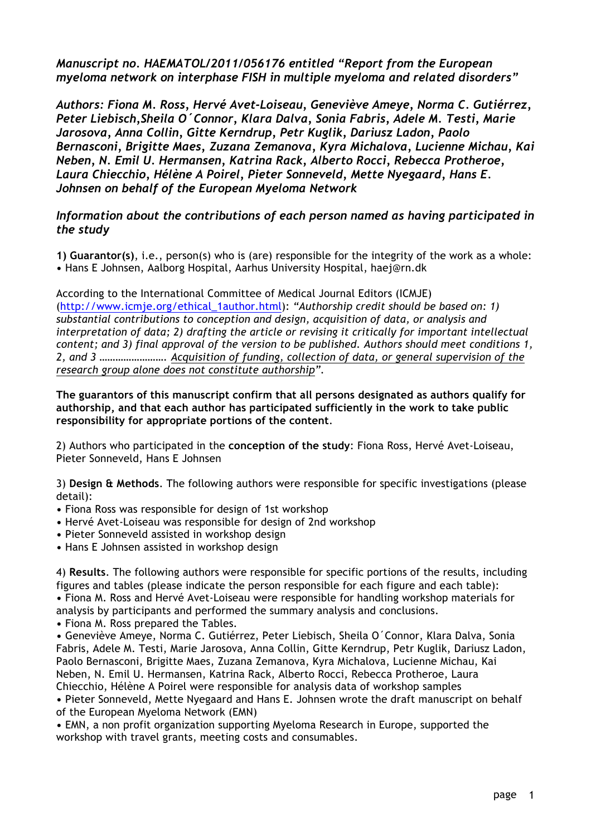*Manuscript no. HAEMATOL/2011/056176 entitled "Report from the European myeloma network on interphase FISH in multiple myeloma and related disorders"*

*Authors: Fiona M. Ross, Hervé Avet-Loiseau, Geneviève Ameye, Norma C. Gutiérrez, Peter Liebisch,Sheila O´Connor, Klara Dalva, Sonia Fabris, Adele M. Testi, Marie Jarosova, Anna Collin, Gitte Kerndrup, Petr Kuglik, Dariusz Ladon, Paolo Bernasconi, Brigitte Maes, Zuzana Zemanova, Kyra Michalova, Lucienne Michau, Kai Neben, N. Emil U. Hermansen, Katrina Rack, Alberto Rocci, Rebecca Protheroe, Laura Chiecchio, Hélène A Poirel, Pieter Sonneveld, Mette Nyegaard, Hans E. Johnsen on behalf of the European Myeloma Network*

## *Information about the contributions of each person named as having participated in the study*

**1) Guarantor(s)**, i.e., person(s) who is (are) responsible for the integrity of the work as a whole: **•** Hans E Johnsen, Aalborg Hospital, Aarhus University Hospital, haej@rn.dk

According to the International Committee of Medical Journal Editors (ICMJE) (http://www.icmje.org/ethical\_1author.html): *"Authorship credit should be based on: 1) substantial contributions to conception and design, acquisition of data, or analysis and interpretation of data; 2) drafting the article or revising it critically for important intellectual content; and 3) final approval of the version to be published. Authors should meet conditions 1, 2, and 3 ……………………. Acquisition of funding, collection of data, or general supervision of the research group alone does not constitute authorship".*

**The guarantors of this manuscript confirm that all persons designated as authors qualify for authorship, and that each author has participated sufficiently in the work to take public responsibility for appropriate portions of the content**.

2) Authors who participated in the **conception of the study**: Fiona Ross, Hervé Avet-Loiseau, Pieter Sonneveld, Hans E Johnsen

3) **Design & Methods**. The following authors were responsible for specific investigations (please detail):

- **•** Fiona Ross was responsible for design of 1st workshop
- **•** Hervé Avet-Loiseau was responsible for design of 2nd workshop
- **•** Pieter Sonneveld assisted in workshop design
- **•** Hans E Johnsen assisted in workshop design

4) **Results**. The following authors were responsible for specific portions of the results, including figures and tables (please indicate the person responsible for each figure and each table):

**•** Fiona M. Ross and Hervé Avet-Loiseau were responsible for handling workshop materials for analysis by participants and performed the summary analysis and conclusions.

**•** Fiona M. Ross prepared the Tables.

**•** Geneviève Ameye, Norma C. Gutiérrez, Peter Liebisch, Sheila O´Connor, Klara Dalva, Sonia Fabris, Adele M. Testi, Marie Jarosova, Anna Collin, Gitte Kerndrup, Petr Kuglik, Dariusz Ladon, Paolo Bernasconi, Brigitte Maes, Zuzana Zemanova, Kyra Michalova, Lucienne Michau, Kai Neben, N. Emil U. Hermansen, Katrina Rack, Alberto Rocci, Rebecca Protheroe, Laura Chiecchio, Hélène A Poirel were responsible for analysis data of workshop samples

**•** Pieter Sonneveld, Mette Nyegaard and Hans E. Johnsen wrote the draft manuscript on behalf of the European Myeloma Network (EMN)

**•** EMN, a non profit organization supporting Myeloma Research in Europe, supported the workshop with travel grants, meeting costs and consumables.